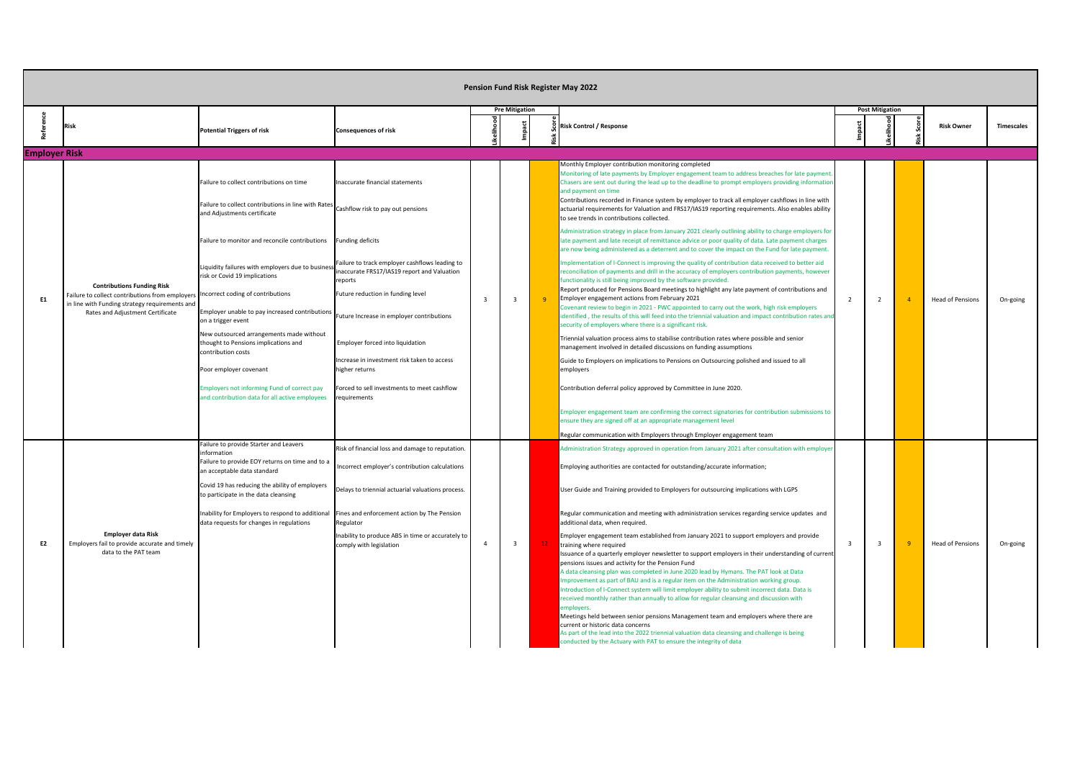|                      | <b>Pension Fund Risk Register May 2022</b><br><b>Pre Mitigation</b><br><b>Post Mitigation</b>                                                                                                                 |                                                                                                                                                                                                                                                                                                                                                                               |                                                                                                                                                                                                                                                      |  |                         |                 |                                                                                                                                                                                                                                                                                                                                                                                                                                                                                                                                                                                                                                                                                                                                                                                                                                                                                                                                                                                                                                                                                                                                                                                                                                                                                                                                                                                    |  |                |    |                         |                   |  |  |
|----------------------|---------------------------------------------------------------------------------------------------------------------------------------------------------------------------------------------------------------|-------------------------------------------------------------------------------------------------------------------------------------------------------------------------------------------------------------------------------------------------------------------------------------------------------------------------------------------------------------------------------|------------------------------------------------------------------------------------------------------------------------------------------------------------------------------------------------------------------------------------------------------|--|-------------------------|-----------------|------------------------------------------------------------------------------------------------------------------------------------------------------------------------------------------------------------------------------------------------------------------------------------------------------------------------------------------------------------------------------------------------------------------------------------------------------------------------------------------------------------------------------------------------------------------------------------------------------------------------------------------------------------------------------------------------------------------------------------------------------------------------------------------------------------------------------------------------------------------------------------------------------------------------------------------------------------------------------------------------------------------------------------------------------------------------------------------------------------------------------------------------------------------------------------------------------------------------------------------------------------------------------------------------------------------------------------------------------------------------------------|--|----------------|----|-------------------------|-------------------|--|--|
|                      | Risk                                                                                                                                                                                                          | <b>Potential Triggers of risk</b>                                                                                                                                                                                                                                                                                                                                             | <b>Consequences of risk</b>                                                                                                                                                                                                                          |  |                         |                 | 8 Risk Control / Response                                                                                                                                                                                                                                                                                                                                                                                                                                                                                                                                                                                                                                                                                                                                                                                                                                                                                                                                                                                                                                                                                                                                                                                                                                                                                                                                                          |  |                |    | <b>Risk Owner</b>       | <b>Timescales</b> |  |  |
| <b>Employer Risk</b> |                                                                                                                                                                                                               |                                                                                                                                                                                                                                                                                                                                                                               |                                                                                                                                                                                                                                                      |  |                         |                 |                                                                                                                                                                                                                                                                                                                                                                                                                                                                                                                                                                                                                                                                                                                                                                                                                                                                                                                                                                                                                                                                                                                                                                                                                                                                                                                                                                                    |  |                |    |                         |                   |  |  |
|                      |                                                                                                                                                                                                               | Failure to collect contributions on time<br>Failure to collect contributions in line with Rates<br>and Adjustments certificate                                                                                                                                                                                                                                                | Inaccurate financial statements<br>Cashflow risk to pay out pensions                                                                                                                                                                                 |  |                         |                 | Monthly Employer contribution monitoring completed<br>Monitoring of late payments by Employer engagement team to address breaches for late payment.<br>Chasers are sent out during the lead up to the deadline to prompt employers providing information<br>and payment on time<br>Contributions recorded in Finance system by employer to track all employer cashflows in line with<br>actuarial requirements for Valuation and FRS17/IAS19 reporting requirements. Also enables ability<br>to see trends in contributions collected.                                                                                                                                                                                                                                                                                                                                                                                                                                                                                                                                                                                                                                                                                                                                                                                                                                             |  |                |    |                         |                   |  |  |
| <b>E1</b>            | <b>Contributions Funding Risk</b><br>Failure to collect contributions from employers lincorrect coding of contributions<br>in line with Funding strategy requirements and<br>Rates and Adjustment Certificate | Failure to monitor and reconcile contributions<br>Liquidity failures with employers due to business<br>risk or Covid 19 implications<br>Employer unable to pay increased contributions Future Increase in employer contributions<br>on a trigger event                                                                                                                        | <b>Funding deficits</b><br>Failure to track employer cashflows leading to<br>inaccurate FRS17/IAS19 report and Valuation<br>reports<br>Future reduction in funding level                                                                             |  | $\overline{\mathbf{3}}$ | - 9             | Administration strategy in place from January 2021 clearly outlining ability to charge employers for<br>late payment and late receipt of remittance advice or poor quality of data. Late payment charges<br>are now being administered as a deterrent and to cover the impact on the Fund for late payment.<br>mplementation of I-Connect is improving the quality of contribution data received to better aid<br>reconciliation of payments and drill in the accuracy of employers contribution payments, however<br>unctionality is still being improved by the software provided.<br>Report produced for Pensions Board meetings to highlight any late payment of contributions and<br>Employer engagement actions from February 2021<br>Covenant review to begin in 2021 - PWC appointed to carry out the work, high risk employers<br>identified, the results of this will feed into the triennial valuation and impact contribution rates and<br>security of employers where there is a significant risk.                                                                                                                                                                                                                                                                                                                                                                    |  | 2              |    | <b>Head of Pensions</b> | On-going          |  |  |
|                      |                                                                                                                                                                                                               | New outsourced arrangements made without<br>thought to Pensions implications and<br>contribution costs<br>Poor employer covenant<br><b>Employers not informing Fund of correct pay</b><br>and contribution data for all active employees                                                                                                                                      | Employer forced into liquidation<br>Increase in investment risk taken to access<br>higher returns<br>Forced to sell investments to meet cashflow<br>requirements                                                                                     |  |                         |                 | Triennial valuation process aims to stabilise contribution rates where possible and senior<br>management involved in detailed discussions on funding assumptions<br>Guide to Employers on implications to Pensions on Outsourcing polished and issued to all<br>employers<br>Contribution deferral policy approved by Committee in June 2020.<br>Employer engagement team are confirming the correct signatories for contribution submissions to<br>ensure they are signed off at an appropriate management level<br>Regular communication with Employers through Employer engagement team                                                                                                                                                                                                                                                                                                                                                                                                                                                                                                                                                                                                                                                                                                                                                                                         |  |                |    |                         |                   |  |  |
| <b>E2</b>            | <b>Employer data Risk</b><br>Employers fail to provide accurate and timely<br>data to the PAT team                                                                                                            | Failure to provide Starter and Leavers<br>information<br>Failure to provide EOY returns on time and to a<br>an acceptable data standard<br>Covid 19 has reducing the ability of employers<br>to participate in the data cleansing<br>Inability for Employers to respond to additional Fines and enforcement action by The Pension<br>data requests for changes in regulations | Risk of financial loss and damage to reputation.<br>Incorrect employer's contribution calculations<br>Delays to triennial actuarial valuations process.<br>Regulator<br>Inability to produce ABS in time or accurately to<br>comply with legislation |  | $\overline{3}$          | 12 <sub>1</sub> | Administration Strategy approved in operation from January 2021 after consultation with employer<br>Employing authorities are contacted for outstanding/accurate information;<br>User Guide and Training provided to Employers for outsourcing implications with LGPS<br>Regular communication and meeting with administration services regarding service updates and<br>additional data, when required.<br>Employer engagement team established from January 2021 to support employers and provide<br>training where required<br>ssuance of a quarterly employer newsletter to support employers in their understanding of current<br>pensions issues and activity for the Pension Fund<br>A data cleansing plan was completed in June 2020 lead by Hymans. The PAT look at Data<br>mprovement as part of BAU and is a regular item on the Administration working group.<br>ntroduction of I-Connect system will limit employer ability to submit incorrect data. Data is<br>eceived monthly rather than annually to allow for regular cleansing and discussion with<br>employers<br>Meetings held between senior pensions Management team and employers where there are<br>current or historic data concerns<br>As part of the lead into the 2022 triennial valuation data cleansing and challenge is being<br>conducted by the Actuary with PAT to ensure the integrity of data |  | $\overline{3}$ | -9 | <b>Head of Pensions</b> | On-going          |  |  |

|  |  |  |  | er May 2022 |
|--|--|--|--|-------------|
|--|--|--|--|-------------|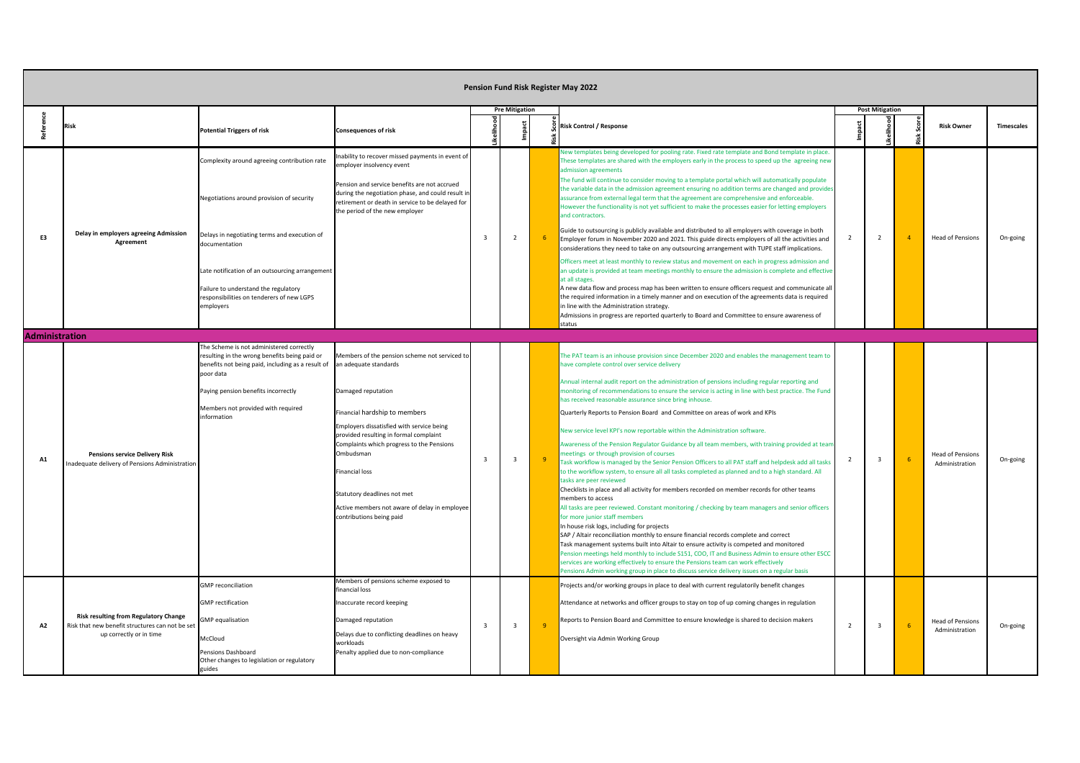|                       | <b>Pension Fund Risk Register May 2022</b>                                                                                 |                                                                                                                                                                                                                                                         |                                                                                                                                                                                                                                                                                                                                                                                                                     |  |                       |  |                                                                                                                                                                                                                                                                                                                                                                                                                                                                                                                                                                                                                                                                                                                                                                                                                                                                                                                                                                                                                                                                                                                                                                                                                                                                                                                                                                                                                                                                                                                                                                                                                                                                                                                                              |  |                        |                |                                           |                   |  |
|-----------------------|----------------------------------------------------------------------------------------------------------------------------|---------------------------------------------------------------------------------------------------------------------------------------------------------------------------------------------------------------------------------------------------------|---------------------------------------------------------------------------------------------------------------------------------------------------------------------------------------------------------------------------------------------------------------------------------------------------------------------------------------------------------------------------------------------------------------------|--|-----------------------|--|----------------------------------------------------------------------------------------------------------------------------------------------------------------------------------------------------------------------------------------------------------------------------------------------------------------------------------------------------------------------------------------------------------------------------------------------------------------------------------------------------------------------------------------------------------------------------------------------------------------------------------------------------------------------------------------------------------------------------------------------------------------------------------------------------------------------------------------------------------------------------------------------------------------------------------------------------------------------------------------------------------------------------------------------------------------------------------------------------------------------------------------------------------------------------------------------------------------------------------------------------------------------------------------------------------------------------------------------------------------------------------------------------------------------------------------------------------------------------------------------------------------------------------------------------------------------------------------------------------------------------------------------------------------------------------------------------------------------------------------------|--|------------------------|----------------|-------------------------------------------|-------------------|--|
|                       |                                                                                                                            |                                                                                                                                                                                                                                                         |                                                                                                                                                                                                                                                                                                                                                                                                                     |  |                       |  |                                                                                                                                                                                                                                                                                                                                                                                                                                                                                                                                                                                                                                                                                                                                                                                                                                                                                                                                                                                                                                                                                                                                                                                                                                                                                                                                                                                                                                                                                                                                                                                                                                                                                                                                              |  |                        |                |                                           |                   |  |
|                       |                                                                                                                            |                                                                                                                                                                                                                                                         |                                                                                                                                                                                                                                                                                                                                                                                                                     |  | <b>Pre Mitigation</b> |  |                                                                                                                                                                                                                                                                                                                                                                                                                                                                                                                                                                                                                                                                                                                                                                                                                                                                                                                                                                                                                                                                                                                                                                                                                                                                                                                                                                                                                                                                                                                                                                                                                                                                                                                                              |  | <b>Post Mitigation</b> |                |                                           |                   |  |
|                       | <b>Risk</b>                                                                                                                | <b>Potential Triggers of risk</b>                                                                                                                                                                                                                       | <b>Consequences of risk</b>                                                                                                                                                                                                                                                                                                                                                                                         |  |                       |  | <b>Risk Control / Response</b>                                                                                                                                                                                                                                                                                                                                                                                                                                                                                                                                                                                                                                                                                                                                                                                                                                                                                                                                                                                                                                                                                                                                                                                                                                                                                                                                                                                                                                                                                                                                                                                                                                                                                                               |  |                        |                | <b>Risk Owner</b>                         | <b>Timescales</b> |  |
|                       |                                                                                                                            | Complexity around agreeing contribution rate<br>Negotiations around provision of security                                                                                                                                                               | Inability to recover missed payments in event of<br>employer insolvency event<br>Pension and service benefits are not accrued<br>during the negotiation phase, and could result in<br>retirement or death in service to be delayed for<br>the period of the new employer                                                                                                                                            |  |                       |  | New templates being developed for pooling rate. Fixed rate template and Bond template in place.<br>These templates are shared with the employers early in the process to speed up the agreeing new<br>admission agreements<br>The fund will continue to consider moving to a template portal which will automatically populate<br>the variable data in the admission agreement ensuring no addition terms are changed and provides<br>assurance from external legal term that the agreement are comprehensive and enforceable.<br>However the functionality is not yet sufficient to make the processes easier for letting employers<br>and contractors.                                                                                                                                                                                                                                                                                                                                                                                                                                                                                                                                                                                                                                                                                                                                                                                                                                                                                                                                                                                                                                                                                     |  |                        |                |                                           |                   |  |
| E <sub>3</sub>        | Delay in employers agreeing Admission<br>Agreement                                                                         | Delays in negotiating terms and execution of<br>documentation                                                                                                                                                                                           |                                                                                                                                                                                                                                                                                                                                                                                                                     |  | $\overline{2}$        |  | Guide to outsourcing is publicly available and distributed to all employers with coverage in both<br>Employer forum in November 2020 and 2021. This guide directs employers of all the activities and<br>considerations they need to take on any outsourcing arrangement with TUPE staff implications.                                                                                                                                                                                                                                                                                                                                                                                                                                                                                                                                                                                                                                                                                                                                                                                                                                                                                                                                                                                                                                                                                                                                                                                                                                                                                                                                                                                                                                       |  | $\overline{2}$         |                | <b>Head of Pensions</b>                   | On-going          |  |
|                       |                                                                                                                            | Late notification of an outsourcing arrangement<br>Failure to understand the regulatory<br>responsibilities on tenderers of new LGPS<br>employers                                                                                                       |                                                                                                                                                                                                                                                                                                                                                                                                                     |  |                       |  | Officers meet at least monthly to review status and movement on each in progress admission and<br>an update is provided at team meetings monthly to ensure the admission is complete and effective<br>at all stages<br>A new data flow and process map has been written to ensure officers request and communicate all<br>the required information in a timely manner and on execution of the agreements data is required<br>in line with the Administration strategy.<br>Admissions in progress are reported quarterly to Board and Committee to ensure awareness of<br>status                                                                                                                                                                                                                                                                                                                                                                                                                                                                                                                                                                                                                                                                                                                                                                                                                                                                                                                                                                                                                                                                                                                                                              |  |                        |                |                                           |                   |  |
| <b>Administration</b> |                                                                                                                            |                                                                                                                                                                                                                                                         |                                                                                                                                                                                                                                                                                                                                                                                                                     |  |                       |  |                                                                                                                                                                                                                                                                                                                                                                                                                                                                                                                                                                                                                                                                                                                                                                                                                                                                                                                                                                                                                                                                                                                                                                                                                                                                                                                                                                                                                                                                                                                                                                                                                                                                                                                                              |  |                        |                |                                           |                   |  |
| A1                    | <b>Pensions service Delivery Risk</b><br>Inadequate delivery of Pensions Administration                                    | The Scheme is not administered correctly<br>resulting in the wrong benefits being paid or<br>benefits not being paid, including as a result of<br>poor data<br>Paying pension benefits incorrectly<br>Members not provided with required<br>information | Members of the pension scheme not serviced to<br>an adequate standards<br>Damaged reputation<br>Financial hardship to members<br>Employers dissatisfied with service being<br>provided resulting in formal complaint<br>Complaints which progress to the Pensions<br>Ombudsman<br><b>Financial loss</b><br>Statutory deadlines not met<br>Active members not aware of delay in employee<br>contributions being paid |  |                       |  | The PAT team is an inhouse provision since December 2020 and enables the management team to<br>have complete control over service delivery<br>Annual internal audit report on the administration of pensions including regular reporting and<br>monitoring of recommendations to ensure the service is acting in line with best practice. The Fund<br>has received reasonable assurance since bring inhouse.<br>Quarterly Reports to Pension Board and Committee on areas of work and KPIs<br>New service level KPI's now reportable within the Administration software.<br>Awareness of the Pension Regulator Guidance by all team members, with training provided at team<br>meetings or through provision of courses<br>Task workflow is managed by the Senior Pension Officers to all PAT staff and helpdesk add all tasks<br>to the workflow system, to ensure all all tasks completed as planned and to a high standard. All<br>tasks are peer reviewed<br>Checklists in place and all activity for members recorded on member records for other teams<br>members to access<br>All tasks are peer reviewed. Constant monitoring / checking by team managers and senior officers<br>for more junior staff members<br>In house risk logs, including for projects<br>SAP / Altair reconciliation monthly to ensure financial records complete and correct<br>Task management systems built into Altair to ensure activity is competed and monitored<br>Pension meetings held monthly to include S151, COO, IT and Business Admin to ensure other ESCC<br>services are working effectively to ensure the Pensions team can work effectively<br>Pensions Admin working group in place to discuss service delivery issues on a regular basis |  | $\overline{3}$         | $-6$           | <b>Head of Pensions</b><br>Administration | On-going          |  |
| A <sub>2</sub>        | <b>Risk resulting from Regulatory Change</b><br>Risk that new benefit structures can not be set<br>up correctly or in time | <b>GMP</b> reconciliation<br><b>GMP</b> rectification<br><b>GMP</b> equalisation<br>McCloud<br><b>Pensions Dashboard</b><br>Other changes to legislation or regulatory<br>guides                                                                        | Members of pensions scheme exposed to<br>financial loss<br>Inaccurate record keeping<br>Damaged reputation<br>Delays due to conflicting deadlines on heavy<br>workloads<br>Penalty applied due to non-compliance                                                                                                                                                                                                    |  |                       |  | Projects and/or working groups in place to deal with current regulatorily benefit changes<br>Attendance at networks and officer groups to stay on top of up coming changes in regulation<br>Reports to Pension Board and Committee to ensure knowledge is shared to decision makers<br>Oversight via Admin Working Group                                                                                                                                                                                                                                                                                                                                                                                                                                                                                                                                                                                                                                                                                                                                                                                                                                                                                                                                                                                                                                                                                                                                                                                                                                                                                                                                                                                                                     |  |                        | 6 <sup>6</sup> | <b>Head of Pensions</b><br>Administration | On-going          |  |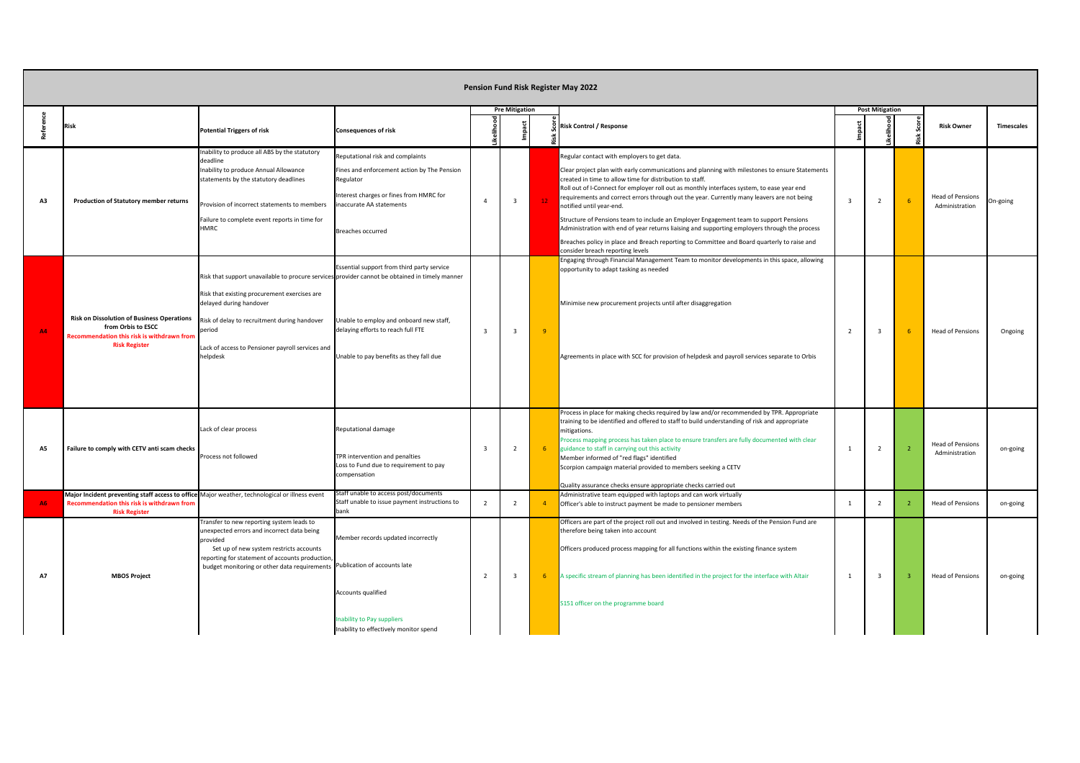|           | <b>Pension Fund Risk Register May 2022</b><br><b>Pre Mitigation</b><br><b>Post Mitigation</b>                                                  |                                                                                                                                                                                                                                                                                                     |                                                                                                                                                                                                 |  |                         |                 |                                                                                                                                                                                                                                                                                                                                                                                                                                                                                                                                                                                                                                                                                                                                                                |                         |                |                |                                           |                   |  |
|-----------|------------------------------------------------------------------------------------------------------------------------------------------------|-----------------------------------------------------------------------------------------------------------------------------------------------------------------------------------------------------------------------------------------------------------------------------------------------------|-------------------------------------------------------------------------------------------------------------------------------------------------------------------------------------------------|--|-------------------------|-----------------|----------------------------------------------------------------------------------------------------------------------------------------------------------------------------------------------------------------------------------------------------------------------------------------------------------------------------------------------------------------------------------------------------------------------------------------------------------------------------------------------------------------------------------------------------------------------------------------------------------------------------------------------------------------------------------------------------------------------------------------------------------------|-------------------------|----------------|----------------|-------------------------------------------|-------------------|--|
|           |                                                                                                                                                |                                                                                                                                                                                                                                                                                                     |                                                                                                                                                                                                 |  |                         |                 |                                                                                                                                                                                                                                                                                                                                                                                                                                                                                                                                                                                                                                                                                                                                                                |                         |                |                |                                           |                   |  |
|           | <b>Risk</b>                                                                                                                                    | <b>Potential Triggers of risk</b>                                                                                                                                                                                                                                                                   | <b>Consequences of risk</b>                                                                                                                                                                     |  |                         |                 | <b>8 Risk Control / Response</b>                                                                                                                                                                                                                                                                                                                                                                                                                                                                                                                                                                                                                                                                                                                               |                         |                |                | <b>Risk Owner</b>                         | <b>Timescales</b> |  |
| A3        | <b>Production of Statutory member returns</b>                                                                                                  | Inability to produce all ABS by the statutory<br>deadline<br>Inability to produce Annual Allowance<br>statements by the statutory deadlines<br>Provision of incorrect statements to members<br>Failure to complete event reports in time for<br><b>HMRC</b>                                         | Reputational risk and complaints<br>Fines and enforcement action by The Pension<br>Regulator<br>Interest charges or fines from HMRC for<br>inaccurate AA statements<br><b>Breaches occurred</b> |  | -3                      | 12 <sup>2</sup> | Regular contact with employers to get data.<br>Clear project plan with early communications and planning with milestones to ensure Statements<br>created in time to allow time for distribution to staff.<br>Roll out of I-Connect for employer roll out as monthly interfaces system, to ease year end<br>requirements and correct errors through out the year. Currently many leavers are not being<br>notified until year-end.<br>Structure of Pensions team to include an Employer Engagement team to support Pensions<br>Administration with end of year returns liaising and supporting employers through the process<br>Breaches policy in place and Breach reporting to Committee and Board quarterly to raise and<br>consider breach reporting levels | $\overline{\mathbf{3}}$ | $2^{\circ}$    | $-6$           | <b>Head of Pensions</b><br>Administration | On-going          |  |
| <b>A4</b> | <b>Risk on Dissolution of Business Operations</b><br>from Orbis to ESCC<br>Recommendation this risk is withdrawn from<br><b>Risk Register</b>  | Risk that support unavailable to procure services provider cannot be obtained in timely manner<br>Risk that existing procurement exercises are<br>delayed during handover<br>Risk of delay to recruitment during handover<br>period<br>Lack of access to Pensioner payroll services and<br>helpdesk | Essential support from third party service<br>Unable to employ and onboard new staff,<br>delaying efforts to reach full FTE<br>Unable to pay benefits as they fall due                          |  | -3                      | ം               | Engaging through Financial Management Team to monitor developments in this space, allowing<br>opportunity to adapt tasking as needed<br>Minimise new procurement projects until after disaggregation<br>Agreements in place with SCC for provision of helpdesk and payroll services separate to Orbis                                                                                                                                                                                                                                                                                                                                                                                                                                                          |                         | $\overline{3}$ | $6^{\circ}$    | <b>Head of Pensions</b>                   | Ongoing           |  |
| <b>A5</b> | Failure to comply with CETV anti scam checks<br>Major Incident preventing staff access to office Major weather, technological or illness event | Lack of clear process<br>Process not followed                                                                                                                                                                                                                                                       | Reputational damage<br>TPR intervention and penalties<br>Loss to Fund due to requirement to pay<br>compensation<br>Staff unable to access post/documents                                        |  | $\overline{2}$          | $-6$            | Process in place for making checks required by law and/or recommended by TPR. Appropriate<br>training to be identified and offered to staff to build understanding of risk and appropriate<br>mitigations.<br>Process mapping process has taken place to ensure transfers are fully documented with clear<br>guidance to staff in carrying out this activity<br>Member informed of "red flags" identified<br>Scorpion campaign material provided to members seeking a CETV<br>Quality assurance checks ensure appropriate checks carried out<br>Administrative team equipped with laptops and can work virtually                                                                                                                                               |                         | 2              | $\overline{2}$ | <b>Head of Pensions</b><br>Administration | on-going          |  |
| <b>A6</b> | Recommendation this risk is withdrawn from<br><b>Risk Register</b>                                                                             |                                                                                                                                                                                                                                                                                                     | Staff unable to issue payment instructions to<br>bank                                                                                                                                           |  | -2                      |                 | Officer's able to instruct payment be made to pensioner members                                                                                                                                                                                                                                                                                                                                                                                                                                                                                                                                                                                                                                                                                                |                         | $\overline{2}$ |                | <b>Head of Pensions</b>                   | on-going          |  |
| <b>A7</b> | <b>MBOS Project</b>                                                                                                                            | Transfer to new reporting system leads to<br>unexpected errors and incorrect data being<br>provided<br>Set up of new system restricts accounts<br>reporting for statement of accounts production,<br>budget monitoring or other data requirements Publication of accounts late                      | Member records updated incorrectly<br>Accounts qualified<br>Inability to Pay suppliers<br>Inability to effectively monitor spend                                                                |  | $\overline{\mathbf{3}}$ |                 | Officers are part of the project roll out and involved in testing. Needs of the Pension Fund are<br>therefore being taken into account<br>Officers produced process mapping for all functions within the existing finance system<br>A specific stream of planning has been identified in the project for the interface with Altair<br>S151 officer on the programme board                                                                                                                                                                                                                                                                                                                                                                                      |                         | $\overline{3}$ | ್ತ             | <b>Head of Pensions</b>                   | on-going          |  |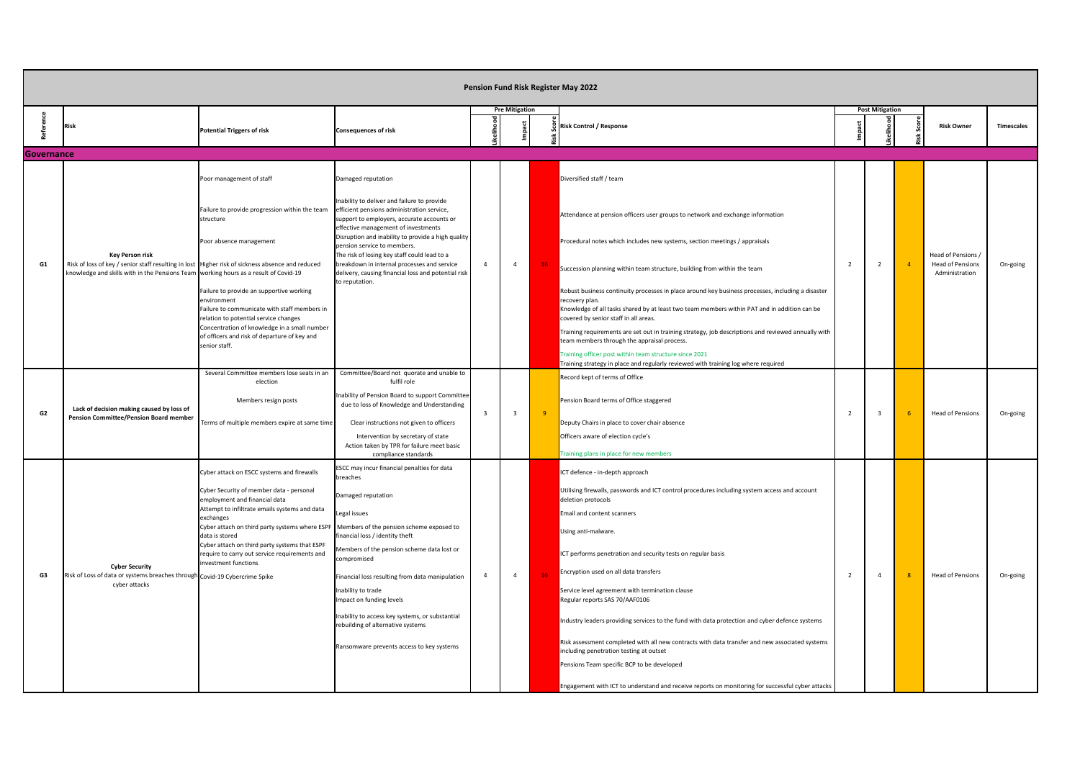|                | <b>Pension Fund Risk Register May 2022</b><br><b>Pre Mitigation</b><br><b>Post Mitigation</b>                                                                                            |                                                                                                                            |                                                                                                                                                                                |                |                         |                 |                                                                                                                                                         |                |                |                |                                           |                   |  |
|----------------|------------------------------------------------------------------------------------------------------------------------------------------------------------------------------------------|----------------------------------------------------------------------------------------------------------------------------|--------------------------------------------------------------------------------------------------------------------------------------------------------------------------------|----------------|-------------------------|-----------------|---------------------------------------------------------------------------------------------------------------------------------------------------------|----------------|----------------|----------------|-------------------------------------------|-------------------|--|
|                | <b>Risk</b>                                                                                                                                                                              | <b>Potential Triggers of risk</b>                                                                                          | <b>Consequences of risk</b>                                                                                                                                                    |                |                         |                 | <b>8 Risk Control / Response</b>                                                                                                                        |                |                |                | <b>Risk Owner</b>                         | <b>Timescales</b> |  |
| Governance     |                                                                                                                                                                                          |                                                                                                                            |                                                                                                                                                                                |                |                         |                 |                                                                                                                                                         |                |                |                |                                           |                   |  |
|                |                                                                                                                                                                                          | Poor management of staff                                                                                                   | Damaged reputation                                                                                                                                                             |                |                         |                 | Diversified staff / team                                                                                                                                |                |                |                |                                           |                   |  |
|                |                                                                                                                                                                                          | Failure to provide progression within the team<br>structure                                                                | Inability to deliver and failure to provide<br>efficient pensions administration service,<br>support to employers, accurate accounts or<br>effective management of investments |                |                         |                 | Attendance at pension officers user groups to network and exchange information                                                                          |                |                |                |                                           |                   |  |
|                | <b>Key Person risk</b>                                                                                                                                                                   | Poor absence management                                                                                                    | Disruption and inability to provide a high quality<br>pension service to members.<br>The risk of losing key staff could lead to a                                              |                |                         |                 | Procedural notes which includes new systems, section meetings / appraisals                                                                              |                |                |                | Head of Pensions /                        |                   |  |
| G1             | Risk of loss of key / senior staff resulting in lost Higher risk of sickness absence and reduced<br>knowledge and skills with in the Pensions Team working hours as a result of Covid-19 |                                                                                                                            | breakdown in internal processes and service<br>delivery, causing financial loss and potential risk<br>to reputation.                                                           |                | -4                      | 16 <sup>1</sup> | Succession planning within team structure, building from within the team                                                                                |                | $\overline{2}$ |                | <b>Head of Pensions</b><br>Administration | On-going          |  |
|                |                                                                                                                                                                                          | Failure to provide an supportive working                                                                                   |                                                                                                                                                                                |                |                         |                 | Robust business continuity processes in place around key business processes, including a disaster                                                       |                |                |                |                                           |                   |  |
|                |                                                                                                                                                                                          | environment<br>Failure to communicate with staff members in<br>relation to potential service changes                       |                                                                                                                                                                                |                |                         |                 | recovery plan.<br>Knowledge of all tasks shared by at least two team members within PAT and in addition can be<br>covered by senior staff in all areas. |                |                |                |                                           |                   |  |
|                |                                                                                                                                                                                          | Concentration of knowledge in a small number<br>of officers and risk of departure of key and<br>senior staff.              |                                                                                                                                                                                |                |                         |                 | Training requirements are set out in training strategy, job descriptions and reviewed annually with<br>team members through the appraisal process.      |                |                |                |                                           |                   |  |
|                |                                                                                                                                                                                          |                                                                                                                            |                                                                                                                                                                                |                |                         |                 | Training officer post within team structure since 2021<br>Training strategy in place and regularly reviewed with training log where required            |                |                |                |                                           |                   |  |
|                |                                                                                                                                                                                          | Several Committee members lose seats in an<br>election                                                                     | Committee/Board not quorate and unable to<br>fulfil role                                                                                                                       |                |                         |                 | Record kept of terms of Office                                                                                                                          |                |                |                |                                           |                   |  |
|                | Lack of decision making caused by loss of                                                                                                                                                | Members resign posts                                                                                                       | Inability of Pension Board to support Committee<br>due to loss of Knowledge and Understanding                                                                                  |                |                         |                 | Pension Board terms of Office staggered                                                                                                                 |                |                |                |                                           |                   |  |
| G2             | <b>Pension Committee/Pension Board member</b>                                                                                                                                            | Terms of multiple members expire at same time                                                                              | Clear instructions not given to officers                                                                                                                                       | $\overline{3}$ | $\overline{\mathbf{3}}$ | 9               | Deputy Chairs in place to cover chair absence                                                                                                           | $\overline{2}$ | $\overline{3}$ | 6 <sup>6</sup> | <b>Head of Pensions</b>                   | On-going          |  |
|                |                                                                                                                                                                                          |                                                                                                                            | Intervention by secretary of state                                                                                                                                             |                |                         |                 | Officers aware of election cycle's                                                                                                                      |                |                |                |                                           |                   |  |
|                |                                                                                                                                                                                          |                                                                                                                            | Action taken by TPR for failure meet basic<br>compliance standards                                                                                                             |                |                         |                 | Training plans in place for new members                                                                                                                 |                |                |                |                                           |                   |  |
|                |                                                                                                                                                                                          | Cyber attack on ESCC systems and firewalls                                                                                 | ESCC may incur financial penalties for data<br>breaches                                                                                                                        |                |                         |                 | ICT defence - in-depth approach                                                                                                                         |                |                |                |                                           |                   |  |
|                |                                                                                                                                                                                          | Cyber Security of member data - personal<br>employment and financial data<br>Attempt to infiltrate emails systems and data | Damaged reputation                                                                                                                                                             |                |                         |                 | Utilising firewalls, passwords and ICT control procedures including system access and account<br>deletion protocols                                     |                |                |                |                                           |                   |  |
|                |                                                                                                                                                                                          | exchanges<br>Cyber attach on third party systems where ESPF   Members of the pension scheme exposed to                     | Legal issues                                                                                                                                                                   |                |                         |                 | <b>Email and content scanners</b>                                                                                                                       |                |                |                |                                           |                   |  |
|                |                                                                                                                                                                                          | data is stored<br>Cyber attach on third party systems that ESPF                                                            | financial loss / identity theft<br>Members of the pension scheme data lost or                                                                                                  |                |                         |                 | Using anti-malware.                                                                                                                                     |                |                |                |                                           |                   |  |
|                | <b>Cyber Security</b>                                                                                                                                                                    | require to carry out service requirements and<br>investment functions                                                      | compromised                                                                                                                                                                    |                |                         |                 | ICT performs penetration and security tests on regular basis                                                                                            |                |                |                |                                           |                   |  |
| G <sub>3</sub> | Risk of Loss of data or systems breaches through Covid-19 Cybercrime Spike                                                                                                               |                                                                                                                            | Financial loss resulting from data manipulation                                                                                                                                |                | -4                      | 16              | Encryption used on all data transfers                                                                                                                   | $\overline{2}$ | $\overline{4}$ | 8 <sup>°</sup> | <b>Head of Pensions</b>                   | On-going          |  |
|                | cyber attacks                                                                                                                                                                            |                                                                                                                            | Inability to trade<br>Impact on funding levels                                                                                                                                 |                |                         |                 | Service level agreement with termination clause<br>Regular reports SAS 70/AAF0106                                                                       |                |                |                |                                           |                   |  |
|                |                                                                                                                                                                                          |                                                                                                                            | Inability to access key systems, or substantial<br>rebuilding of alternative systems                                                                                           |                |                         |                 | Industry leaders providing services to the fund with data protection and cyber defence systems                                                          |                |                |                |                                           |                   |  |
|                |                                                                                                                                                                                          |                                                                                                                            | Ransomware prevents access to key systems                                                                                                                                      |                |                         |                 | Risk assessment completed with all new contracts with data transfer and new associated systems<br>including penetration testing at outset               |                |                |                |                                           |                   |  |
|                |                                                                                                                                                                                          |                                                                                                                            |                                                                                                                                                                                |                |                         |                 | Pensions Team specific BCP to be developed                                                                                                              |                |                |                |                                           |                   |  |
|                |                                                                                                                                                                                          |                                                                                                                            |                                                                                                                                                                                |                |                         |                 | Engagement with ICT to understand and receive reports on monitoring for successful cyber attacks                                                        |                |                |                |                                           |                   |  |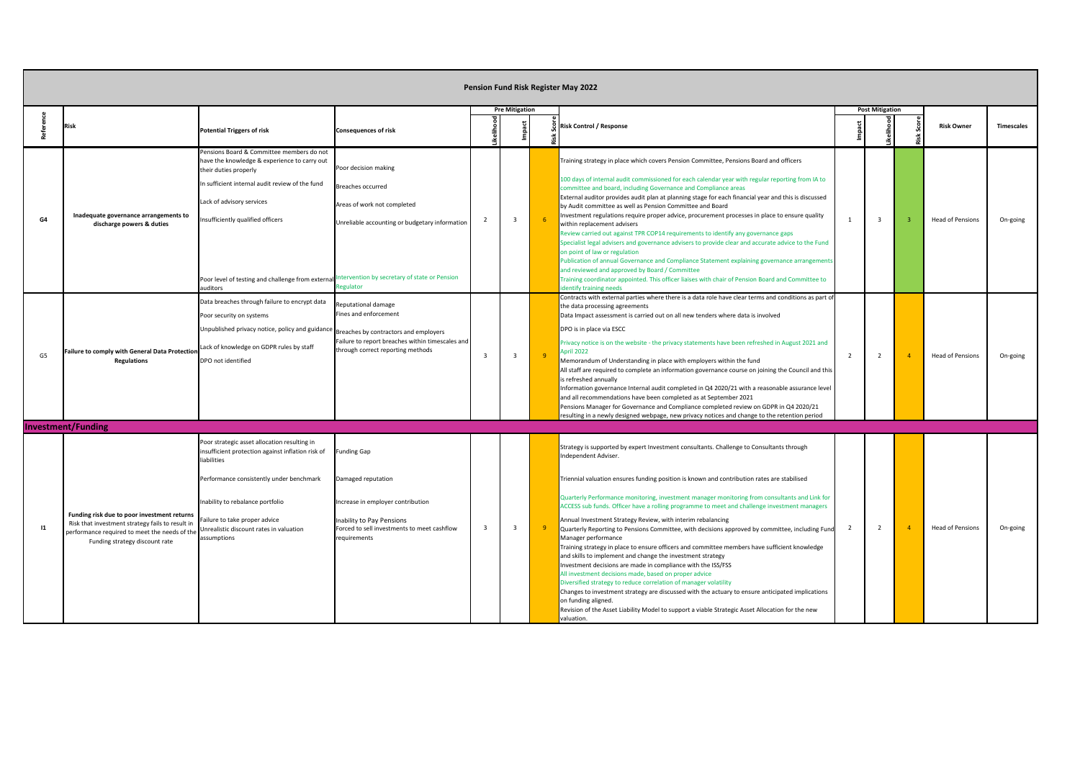|                 | <b>Pension Fund Risk Register May 2022</b>                                                                                                                                         |                                                                                                                                                                                                                                                                                                                                            |                                                                                                                                                                           |  |                         |                |                                                                                                                                                                                                                                                                                                                                                                                                                                                                                                                                                                                                                                                                                                                                                                                                                                                                                                                                                                                                                                                                                                                                                                                                                                                                |  |  |  |  |  |  |
|-----------------|------------------------------------------------------------------------------------------------------------------------------------------------------------------------------------|--------------------------------------------------------------------------------------------------------------------------------------------------------------------------------------------------------------------------------------------------------------------------------------------------------------------------------------------|---------------------------------------------------------------------------------------------------------------------------------------------------------------------------|--|-------------------------|----------------|----------------------------------------------------------------------------------------------------------------------------------------------------------------------------------------------------------------------------------------------------------------------------------------------------------------------------------------------------------------------------------------------------------------------------------------------------------------------------------------------------------------------------------------------------------------------------------------------------------------------------------------------------------------------------------------------------------------------------------------------------------------------------------------------------------------------------------------------------------------------------------------------------------------------------------------------------------------------------------------------------------------------------------------------------------------------------------------------------------------------------------------------------------------------------------------------------------------------------------------------------------------|--|--|--|--|--|--|
|                 |                                                                                                                                                                                    |                                                                                                                                                                                                                                                                                                                                            |                                                                                                                                                                           |  | <b>Pre Mitigation</b>   |                | <b>Post Mitigation</b>                                                                                                                                                                                                                                                                                                                                                                                                                                                                                                                                                                                                                                                                                                                                                                                                                                                                                                                                                                                                                                                                                                                                                                                                                                         |  |  |  |  |  |  |
|                 | <b>Risk</b>                                                                                                                                                                        | <b>Potential Triggers of risk</b>                                                                                                                                                                                                                                                                                                          | <b>Consequences of risk</b>                                                                                                                                               |  |                         |                | 8 Risk Control / Response<br><b>Risk Owner</b><br><b>Timescales</b>                                                                                                                                                                                                                                                                                                                                                                                                                                                                                                                                                                                                                                                                                                                                                                                                                                                                                                                                                                                                                                                                                                                                                                                            |  |  |  |  |  |  |
| G4              | Inadequate governance arrangements to<br>discharge powers & duties                                                                                                                 | Pensions Board & Committee members do not<br>have the knowledge & experience to carry out<br>their duties properly<br>In sufficient internal audit review of the fund<br>Lack of advisory services<br>Insufficiently qualified officers<br>Poor level of testing and challenge from external Intervention by secretary of state or Pension | Poor decision making<br><b>Breaches occurred</b><br>Areas of work not completed<br>Unreliable accounting or budgetary information<br>Regulator                            |  | $\overline{\mathbf{3}}$ | $-6$           | Training strategy in place which covers Pension Committee, Pensions Board and officers<br>100 days of internal audit commissioned for each calendar year with regular reporting from IA to<br>committee and board, including Governance and Compliance areas<br>External auditor provides audit plan at planning stage for each financial year and this is discussed<br>by Audit committee as well as Pension Committee and Board<br>nvestment regulations require proper advice, procurement processes in place to ensure quality<br><b>Head of Pensions</b><br>$\overline{3}$<br>- 3<br>On-going<br>within replacement advisers<br>Review carried out against TPR COP14 requirements to identify any governance gaps<br>Specialist legal advisers and governance advisers to provide clear and accurate advice to the Fund<br>on point of law or regulation<br>Publication of annual Governance and Compliance Statement explaining governance arrangements<br>and reviewed and approved by Board / Committee<br>Fraining coordinator appointed. This officer liaises with chair of Pension Board and Committee to                                                                                                                                           |  |  |  |  |  |  |
| G <sub>5</sub>  | <b>Failure to comply with General Data Protection</b><br><b>Regulations</b>                                                                                                        | auditors<br>Data breaches through failure to encrypt data<br>Poor security on systems<br>Unpublished privacy notice, policy and guidance Breaches by contractors and employers<br>Lack of knowledge on GDPR rules by staff<br>DPO not identified                                                                                           | Reputational damage<br>Fines and enforcement<br>Failure to report breaches within timescales and<br>through correct reporting methods                                     |  | $\overline{\mathbf{3}}$ | $\overline{9}$ | identify training needs<br>Contracts with external parties where there is a data role have clear terms and conditions as part of<br>the data processing agreements<br>Data Impact assessment is carried out on all new tenders where data is involved<br>DPO is in place via ESCC<br>Privacy notice is on the website - the privacy statements have been refreshed in August 2021 and<br>April 2022<br><b>Head of Pensions</b><br>On-going<br>Memorandum of Understanding in place with employers within the fund<br>All staff are required to complete an information governance course on joining the Council and this<br>s refreshed annually<br>Information governance Internal audit completed in Q4 2020/21 with a reasonable assurance level<br>and all recommendations have been completed as at September 2021<br>Pensions Manager for Governance and Compliance completed review on GDPR in Q4 2020/21<br>resulting in a newly designed webpage, new privacy notices and change to the retention period                                                                                                                                                                                                                                              |  |  |  |  |  |  |
|                 | <b>Investment/Funding</b>                                                                                                                                                          |                                                                                                                                                                                                                                                                                                                                            |                                                                                                                                                                           |  |                         |                |                                                                                                                                                                                                                                                                                                                                                                                                                                                                                                                                                                                                                                                                                                                                                                                                                                                                                                                                                                                                                                                                                                                                                                                                                                                                |  |  |  |  |  |  |
| $\overline{11}$ | Funding risk due to poor investment returns<br>Risk that investment strategy fails to result in<br>performance required to meet the needs of the<br>Funding strategy discount rate | Poor strategic asset allocation resulting in<br>insufficient protection against inflation risk of<br>liabilities<br>Performance consistently under benchmark<br>Inability to rebalance portfolio<br>Failure to take proper advice<br>Unrealistic discount rates in valuation<br>assumptions                                                | <b>Funding Gap</b><br>Damaged reputation<br>Increase in employer contribution<br>Inability to Pay Pensions<br>Forced to sell investments to meet cashflow<br>requirements |  | $\overline{\mathbf{3}}$ | - 9            | Strategy is supported by expert Investment consultants. Challenge to Consultants through<br>Independent Adviser.<br>Triennial valuation ensures funding position is known and contribution rates are stabilised<br>Quarterly Performance monitoring, investment manager monitoring from consultants and Link for<br>ACCESS sub funds. Officer have a rolling programme to meet and challenge investment managers<br>Annual Investment Strategy Review, with interim rebalancing<br>On-going<br><b>Head of Pensions</b><br>2<br>Quarterly Reporting to Pensions Committee, with decisions approved by committee, including Fund<br>Manager performance<br>Training strategy in place to ensure officers and committee members have sufficient knowledge<br>and skills to implement and change the investment strategy<br>Investment decisions are made in compliance with the ISS/FSS<br>All investment decisions made, based on proper advice<br>Diversified strategy to reduce correlation of manager volatility<br>Changes to investment strategy are discussed with the actuary to ensure anticipated implications<br>on funding aligned.<br>Revision of the Asset Liability Model to support a viable Strategic Asset Allocation for the new<br>valuation. |  |  |  |  |  |  |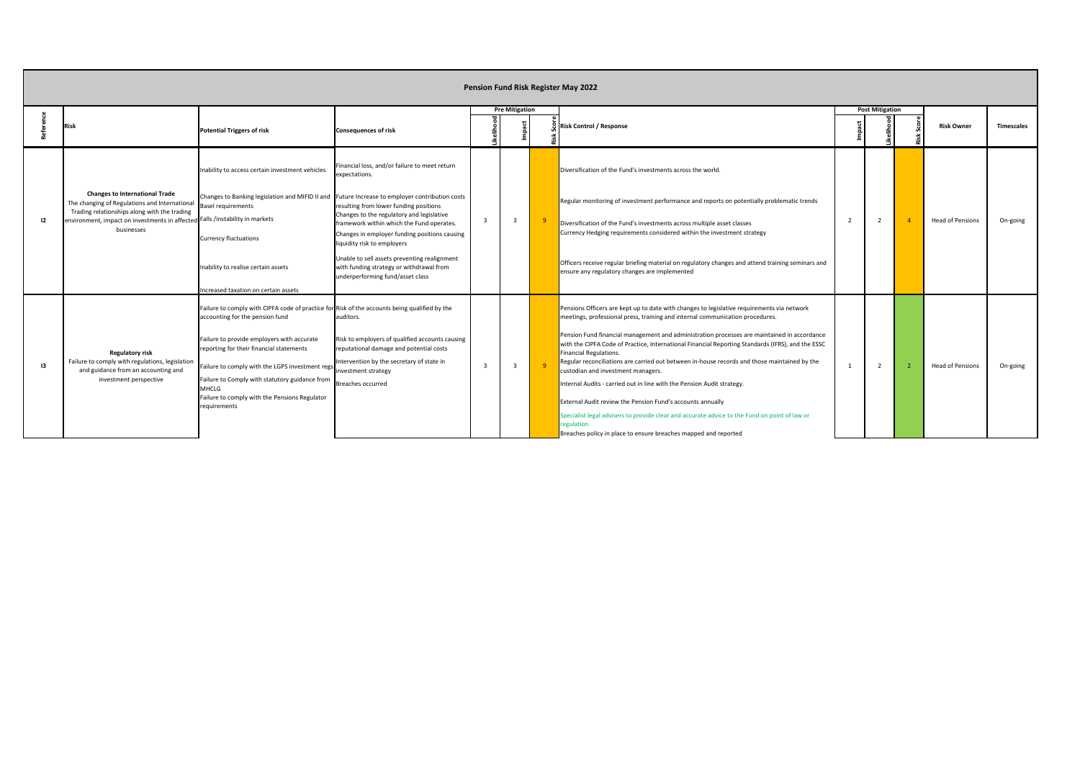|     | <b>Pension Fund Risk Register May 2022</b><br><b>Post Mitigation</b>                                                                       |                                                                                                                                                                                                                                                              |                                                                                                                              |  |                         |                |                                                                                                                                                                                                                                   |  |                |                |                         |                   |  |
|-----|--------------------------------------------------------------------------------------------------------------------------------------------|--------------------------------------------------------------------------------------------------------------------------------------------------------------------------------------------------------------------------------------------------------------|------------------------------------------------------------------------------------------------------------------------------|--|-------------------------|----------------|-----------------------------------------------------------------------------------------------------------------------------------------------------------------------------------------------------------------------------------|--|----------------|----------------|-------------------------|-------------------|--|
|     | <b>Risk</b>                                                                                                                                | <b>Potential Triggers of risk</b>                                                                                                                                                                                                                            | <b>Consequences of risk</b>                                                                                                  |  | <b>Pre Mitigation</b>   |                | <b>ၟ</b> Risk Control / Response                                                                                                                                                                                                  |  |                |                | <b>Risk Owner</b>       | <b>Timescales</b> |  |
|     |                                                                                                                                            | Financial loss, and/or failure to meet return<br>Inability to access certain investment vehicles<br>expectations.<br><b>Changes to International Trade</b><br>Changes to Banking legislation and MIFID II and Future Increase to employer contribution costs |                                                                                                                              |  |                         |                | Diversification of the Fund's investments across the world.                                                                                                                                                                       |  |                |                |                         |                   |  |
|     | The changing of Regulations and International                                                                                              | <b>Basel requirements</b>                                                                                                                                                                                                                                    | resulting from lower funding positions                                                                                       |  |                         |                | Regular monitoring of investment performance and reports on potentially problematic trends                                                                                                                                        |  |                |                |                         |                   |  |
|     | Trading relationships along with the trading<br>environment, impact on investments in affected Falls /instability in markets<br>businesses |                                                                                                                                                                                                                                                              | Changes to the regulatory and legislative<br>framework within which the Fund operates.                                       |  | $\overline{\mathbf{3}}$ | - 91           | Diversification of the Fund's investments across multiple asset classes                                                                                                                                                           |  | $\overline{2}$ |                | <b>Head of Pensions</b> | On-going          |  |
|     |                                                                                                                                            | <b>Currency fluctuations</b>                                                                                                                                                                                                                                 | Changes in employer funding positions causing<br>liquidity risk to employers                                                 |  |                         |                | Currency Hedging requirements considered within the investment strategy                                                                                                                                                           |  |                |                |                         |                   |  |
|     |                                                                                                                                            | Inability to realise certain assets                                                                                                                                                                                                                          | Unable to sell assets preventing realignment<br>with funding strategy or withdrawal from<br>underperforming fund/asset class |  |                         |                | Officers receive regular briefing material on regulatory changes and attend training seminars and<br>ensure any regulatory changes are implemented                                                                                |  |                |                |                         |                   |  |
|     |                                                                                                                                            | Increased taxation on certain assets                                                                                                                                                                                                                         |                                                                                                                              |  |                         |                |                                                                                                                                                                                                                                   |  |                |                |                         |                   |  |
|     |                                                                                                                                            | Failure to comply with CIPFA code of practice for Risk of the accounts being qualified by the<br>accounting for the pension fund                                                                                                                             | auditors.                                                                                                                    |  |                         |                | Pensions Officers are kept up to date with changes to legislative requirements via network<br>meetings, professional press, training and internal communication procedures.                                                       |  |                |                |                         |                   |  |
|     | <b>Regulatory risk</b>                                                                                                                     | Failure to provide employers with accurate<br>reporting for their financial statements                                                                                                                                                                       | Risk to employers of qualified accounts causing<br>reputational damage and potential costs                                   |  |                         |                | Pension Fund financial management and administration processes are maintained in accordance<br>with the CIPFA Code of Practice, International Financial Reporting Standards (IFRS), and the ESSC<br><b>Financial Regulations.</b> |  |                |                |                         |                   |  |
| -13 | Failure to comply with regulations, legislation<br>and guidance from an accounting and                                                     | Failure to comply with the LGPS investment regs                                                                                                                                                                                                              | Intervention by the secretary of state in<br>investment strategy                                                             |  | $\overline{3}$          | $\overline{9}$ | Regular reconciliations are carried out between in-house records and those maintained by the<br>custodian and investment managers.                                                                                                |  | $2^{\circ}$    | $\overline{2}$ | <b>Head of Pensions</b> | On-going          |  |
|     | investment perspective                                                                                                                     | Failure to Comply with statutory guidance from<br><b>MHCLG</b>                                                                                                                                                                                               | <b>Breaches occurred</b>                                                                                                     |  |                         |                | Internal Audits - carried out in line with the Pension Audit strategy.                                                                                                                                                            |  |                |                |                         |                   |  |
|     |                                                                                                                                            | Failure to comply with the Pensions Regulator<br>requirements                                                                                                                                                                                                |                                                                                                                              |  |                         |                | External Audit review the Pension Fund's accounts annually                                                                                                                                                                        |  |                |                |                         |                   |  |
|     |                                                                                                                                            |                                                                                                                                                                                                                                                              |                                                                                                                              |  |                         |                | Specialist legal advisers to provide clear and accurate advice to the Fund on point of law or<br>regulation                                                                                                                       |  |                |                |                         |                   |  |
|     |                                                                                                                                            |                                                                                                                                                                                                                                                              |                                                                                                                              |  |                         |                | Breaches policy in place to ensure breaches mapped and reported                                                                                                                                                                   |  |                |                |                         |                   |  |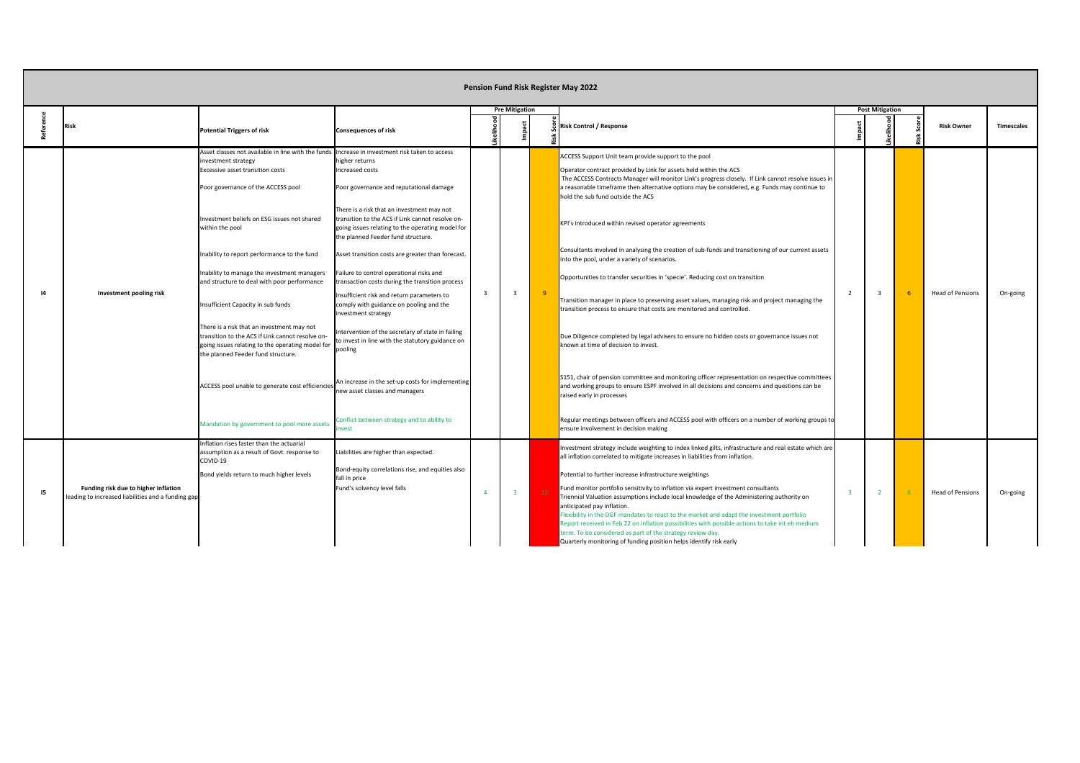## **Pension Fund Risk Register May 2022**

|    | <b>FURNISION FULLY NOT KEEPSTEL IVIDY LULL</b><br><b>Pre Mitigation</b><br><b>Post Mitigation</b> |                                                                                                                                                                                                                                                                                                                                                                                                                                                                                                                                                                                                                                                                                                             |                                                                                                                                                                                                                                                                                                                                                                                                                                                                                                                                                                                                                                                                                                                                                        |  |   |                 |                                                                                                                                                                                                                                                                                                                                                                                                                                                                                                                                                                                                                                                                                                                                                                                                                                                                                                                                                                                                                                                                                                                                                                                                                           |  |                |  |                         |                   |  |
|----|---------------------------------------------------------------------------------------------------|-------------------------------------------------------------------------------------------------------------------------------------------------------------------------------------------------------------------------------------------------------------------------------------------------------------------------------------------------------------------------------------------------------------------------------------------------------------------------------------------------------------------------------------------------------------------------------------------------------------------------------------------------------------------------------------------------------------|--------------------------------------------------------------------------------------------------------------------------------------------------------------------------------------------------------------------------------------------------------------------------------------------------------------------------------------------------------------------------------------------------------------------------------------------------------------------------------------------------------------------------------------------------------------------------------------------------------------------------------------------------------------------------------------------------------------------------------------------------------|--|---|-----------------|---------------------------------------------------------------------------------------------------------------------------------------------------------------------------------------------------------------------------------------------------------------------------------------------------------------------------------------------------------------------------------------------------------------------------------------------------------------------------------------------------------------------------------------------------------------------------------------------------------------------------------------------------------------------------------------------------------------------------------------------------------------------------------------------------------------------------------------------------------------------------------------------------------------------------------------------------------------------------------------------------------------------------------------------------------------------------------------------------------------------------------------------------------------------------------------------------------------------------|--|----------------|--|-------------------------|-------------------|--|
|    |                                                                                                   |                                                                                                                                                                                                                                                                                                                                                                                                                                                                                                                                                                                                                                                                                                             |                                                                                                                                                                                                                                                                                                                                                                                                                                                                                                                                                                                                                                                                                                                                                        |  |   |                 |                                                                                                                                                                                                                                                                                                                                                                                                                                                                                                                                                                                                                                                                                                                                                                                                                                                                                                                                                                                                                                                                                                                                                                                                                           |  |                |  |                         |                   |  |
|    | <b>Risk</b>                                                                                       | <b>Potential Triggers of risk</b>                                                                                                                                                                                                                                                                                                                                                                                                                                                                                                                                                                                                                                                                           | <b>Consequences of risk</b>                                                                                                                                                                                                                                                                                                                                                                                                                                                                                                                                                                                                                                                                                                                            |  |   |                 | 8 Risk Control / Response                                                                                                                                                                                                                                                                                                                                                                                                                                                                                                                                                                                                                                                                                                                                                                                                                                                                                                                                                                                                                                                                                                                                                                                                 |  |                |  | <b>Risk Owner</b>       | <b>Timescales</b> |  |
| 14 | Investment pooling risk                                                                           | Asset classes not available in line with the funds Increase in investment risk taken to access<br>investment strategy<br><b>Excessive asset transition costs</b><br>Poor governance of the ACCESS pool<br>Investment beliefs on ESG issues not shared<br>within the pool<br>Inability to report performance to the fund<br>Inability to manage the investment managers<br>and structure to deal with poor performance<br>Insufficient Capacity in sub funds<br>There is a risk that an investment may not<br>transition to the ACS if Link cannot resolve on-<br>going issues relating to the operating model for<br>the planned Feeder fund structure.<br>ACCESS pool unable to generate cost efficiencies | higher returns<br>Increased costs<br>Poor governance and reputational damage<br>There is a risk that an investment may not<br>transition to the ACS if Link cannot resolve on-<br>going issues relating to the operating model for<br>the planned Feeder fund structure.<br>Asset transition costs are greater than forecast.<br>Failure to control operational risks and<br>transaction costs during the transition process<br>Insufficient risk and return parameters to<br>comply with guidance on pooling and the<br>investment strategy<br>Intervention of the secretary of state in failing<br>to invest in line with the statutory guidance on<br>pooling<br>An increase in the set-up costs for implementing<br>new asset classes and managers |  | 3 | - 9             | ACCESS Support Unit team provide support to the pool<br>Operator contract provided by Link for assets held within the ACS<br>The ACCESS Contracts Manager will monitor Link's progress closely. If Link cannot resolve issues in<br>a reasonable timeframe then alternative options may be considered, e.g. Funds may continue to<br>hold the sub fund outside the ACS<br>KPI's introduced within revised operator agreements<br>Consultants involved in analysing the creation of sub-funds and transitioning of our current assets<br>into the pool, under a variety of scenarios.<br>Opportunities to transfer securities in 'specie'. Reducing cost on transition<br>Transition manager in place to preserving asset values, managing risk and project managing the<br>transition process to ensure that costs are monitored and controlled.<br>Due Diligence completed by legal advisers to ensure no hidden costs or governance issues not<br>known at time of decision to invest.<br>S151, chair of pension committee and monitoring officer representation on respective committees<br>and working groups to ensure ESPF involved in all decisions and concerns and questions can be<br>raised early in processes |  | $\overline{3}$ |  | <b>Head of Pensions</b> | On-going          |  |
|    |                                                                                                   | Mandation by government to pool more assets                                                                                                                                                                                                                                                                                                                                                                                                                                                                                                                                                                                                                                                                 | Conflict between strategy and to ability to<br>invest                                                                                                                                                                                                                                                                                                                                                                                                                                                                                                                                                                                                                                                                                                  |  |   |                 | Regular meetings between officers and ACCESS pool with officers on a number of working groups to<br>ensure involvement in decision making                                                                                                                                                                                                                                                                                                                                                                                                                                                                                                                                                                                                                                                                                                                                                                                                                                                                                                                                                                                                                                                                                 |  |                |  |                         |                   |  |
| 15 | Funding risk due to higher inflation<br>leading to increased liabilities and a funding gap        | Inflation rises faster than the actuarial<br>assumption as a result of Govt. response to<br>COVID-19<br>Bond yields return to much higher levels                                                                                                                                                                                                                                                                                                                                                                                                                                                                                                                                                            | Liabilities are higher than expected.<br>Bond-equity correlations rise, and equities also<br>fall in price<br>Fund's solvency level falls                                                                                                                                                                                                                                                                                                                                                                                                                                                                                                                                                                                                              |  |   | 12 <sup>7</sup> | nvestment strategy include weighting to index linked gilts, infrastructure and real estate which are<br>all inflation correlated to mitigate increases in liabilities from inflation.<br>Potential to further increase infrastructure weightings<br>Fund monitor portfolio sensitivity to inflation via expert investment consultants<br>Triennial Valuation assumptions include local knowledge of the Administering authority on<br>anticipated pay inflation.<br>Flexibility in the DGF mandates to react to the market and adapt the investment portfolio<br>Report received in Feb 22 on inflation possibilities with possible actions to take int eh medium<br>term. To be considered as part of the strategy review day.<br>Quarterly monitoring of funding position helps identify risk early                                                                                                                                                                                                                                                                                                                                                                                                                     |  |                |  | <b>Head of Pensions</b> | On-going          |  |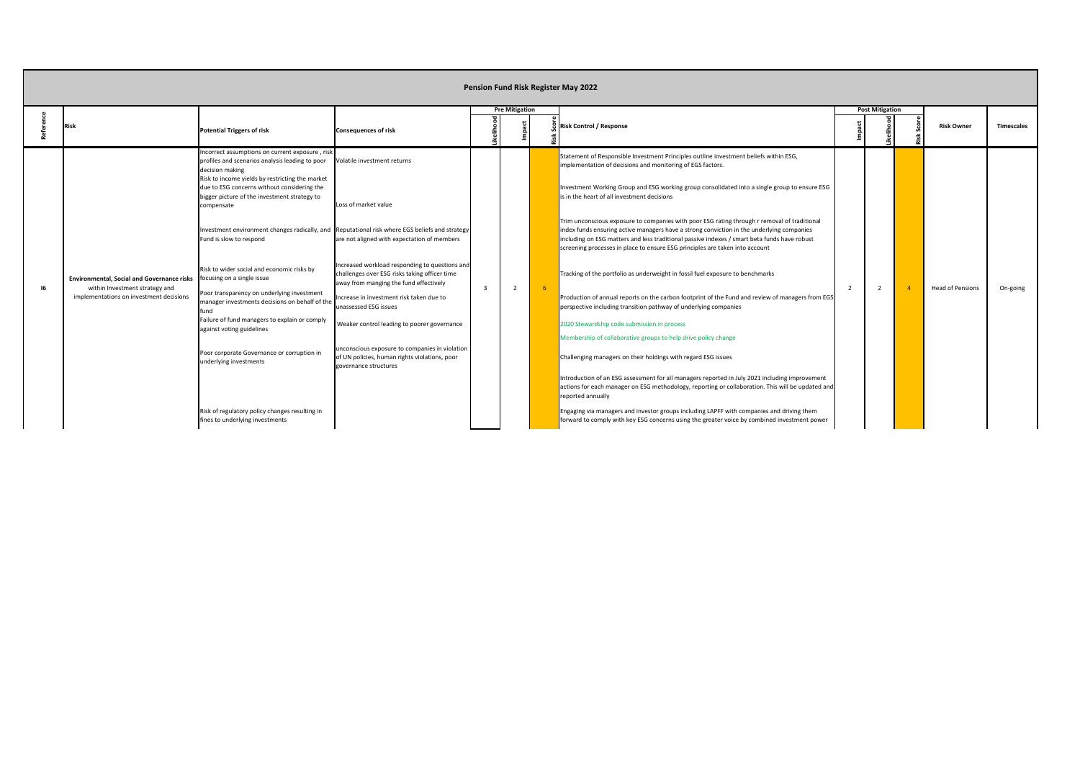## **Pension Fund Risk Register May 2022**

|    | $\sim$                                                                                                                         |                                                                                                                                                                                                                                                                                                                                                                                                                                                                                                                                                                                                                                                                                                              |                                                                                                                                                                                                                                                                                                                                                                                                                                                                                                                                                                                                   |                |                       |      |                                                                                                                                                                                                                                                                                                                                                                                                                                                                                                                                                                                                                                                                                                                                                                                                                                                                                                                                                                                                                                                                                                                                                                                                                                                                                                                                                                                                                                                       |  |                        |  |                         |                   |
|----|--------------------------------------------------------------------------------------------------------------------------------|--------------------------------------------------------------------------------------------------------------------------------------------------------------------------------------------------------------------------------------------------------------------------------------------------------------------------------------------------------------------------------------------------------------------------------------------------------------------------------------------------------------------------------------------------------------------------------------------------------------------------------------------------------------------------------------------------------------|---------------------------------------------------------------------------------------------------------------------------------------------------------------------------------------------------------------------------------------------------------------------------------------------------------------------------------------------------------------------------------------------------------------------------------------------------------------------------------------------------------------------------------------------------------------------------------------------------|----------------|-----------------------|------|-------------------------------------------------------------------------------------------------------------------------------------------------------------------------------------------------------------------------------------------------------------------------------------------------------------------------------------------------------------------------------------------------------------------------------------------------------------------------------------------------------------------------------------------------------------------------------------------------------------------------------------------------------------------------------------------------------------------------------------------------------------------------------------------------------------------------------------------------------------------------------------------------------------------------------------------------------------------------------------------------------------------------------------------------------------------------------------------------------------------------------------------------------------------------------------------------------------------------------------------------------------------------------------------------------------------------------------------------------------------------------------------------------------------------------------------------------|--|------------------------|--|-------------------------|-------------------|
|    |                                                                                                                                |                                                                                                                                                                                                                                                                                                                                                                                                                                                                                                                                                                                                                                                                                                              |                                                                                                                                                                                                                                                                                                                                                                                                                                                                                                                                                                                                   |                | <b>Pre Mitigation</b> |      |                                                                                                                                                                                                                                                                                                                                                                                                                                                                                                                                                                                                                                                                                                                                                                                                                                                                                                                                                                                                                                                                                                                                                                                                                                                                                                                                                                                                                                                       |  | <b>Post Mitigation</b> |  |                         |                   |
|    | <b>Risk</b>                                                                                                                    | <b>Potential Triggers of risk</b>                                                                                                                                                                                                                                                                                                                                                                                                                                                                                                                                                                                                                                                                            | <b>Consequences of risk</b>                                                                                                                                                                                                                                                                                                                                                                                                                                                                                                                                                                       |                |                       |      | 8 Risk Control / Response                                                                                                                                                                                                                                                                                                                                                                                                                                                                                                                                                                                                                                                                                                                                                                                                                                                                                                                                                                                                                                                                                                                                                                                                                                                                                                                                                                                                                             |  |                        |  | <b>Risk Owner</b>       | <b>Timescales</b> |
| 16 | <b>Environmental, Social and Governance risks</b><br>within Investment strategy and<br>implementations on investment decisions | Incorrect assumptions on current exposure, risk<br>profiles and scenarios analysis leading to poor<br>decision making<br>Risk to income yields by restricting the market<br>due to ESG concerns without considering the<br>bigger picture of the investment strategy to<br>compensate<br>Fund is slow to respond<br>Risk to wider social and economic risks by<br>focusing on a single issue<br>Poor transparency on underlying investment<br>manager investments decisions on behalf of the<br>fund<br>Failure of fund managers to explain or comply<br>against voting guidelines<br>Poor corporate Governance or corruption in<br>underlying investments<br>Risk of regulatory policy changes resulting in | Volatile investment returns<br>Loss of market value<br>Investment environment changes radically, and Reputational risk where EGS beliefs and strategy<br>are not aligned with expectation of members<br>Increased workload responding to questions and<br>challenges over ESG risks taking officer time<br>away from manging the fund effectively<br>Increase in investment risk taken due to<br>unassessed ESG issues<br>Weaker control leading to poorer governance<br>unconscious exposure to companies in violation<br>of UN policies, human rights violations, poor<br>governance structures | $\overline{3}$ | $\overline{2}$        | $-6$ | Statement of Responsible Investment Principles outline investment beliefs within ESG,<br>implementation of decisions and monitoring of EGS factors.<br>Investment Working Group and ESG working group consolidated into a single group to ensure ESG<br>is in the heart of all investment decisions<br>Trim unconscious exposure to companies with poor ESG rating through r removal of traditional<br>index funds ensuring active managers have a strong conviction in the underlying companies<br>including on ESG matters and less traditional passive indexes / smart beta funds have robust<br>screening processes in place to ensure ESG principles are taken into account<br>Tracking of the portfolio as underweight in fossil fuel exposure to benchmarks<br>Production of annual reports on the carbon footprint of the Fund and review of managers from EGS<br>perspective including transition pathway of underlying companies<br>2020 Stewardship code submission in process<br>Membership of collaborative groups to help drive policy change<br>Challenging managers on their holdings with regard ESG issues<br>Introduction of an ESG assessment for all managers reported in July 2021 including improvement<br>actions for each manager on ESG methodology, reporting or collaboration. This will be updated and<br>reported annually<br>Engaging via managers and investor groups including LAPFF with companies and driving them |  | $\overline{2}$         |  | <b>Head of Pensions</b> | On-going          |
|    |                                                                                                                                | fines to underlying investments                                                                                                                                                                                                                                                                                                                                                                                                                                                                                                                                                                                                                                                                              |                                                                                                                                                                                                                                                                                                                                                                                                                                                                                                                                                                                                   |                |                       |      | forward to comply with key ESG concerns using the greater voice by combined investment power                                                                                                                                                                                                                                                                                                                                                                                                                                                                                                                                                                                                                                                                                                                                                                                                                                                                                                                                                                                                                                                                                                                                                                                                                                                                                                                                                          |  |                        |  |                         |                   |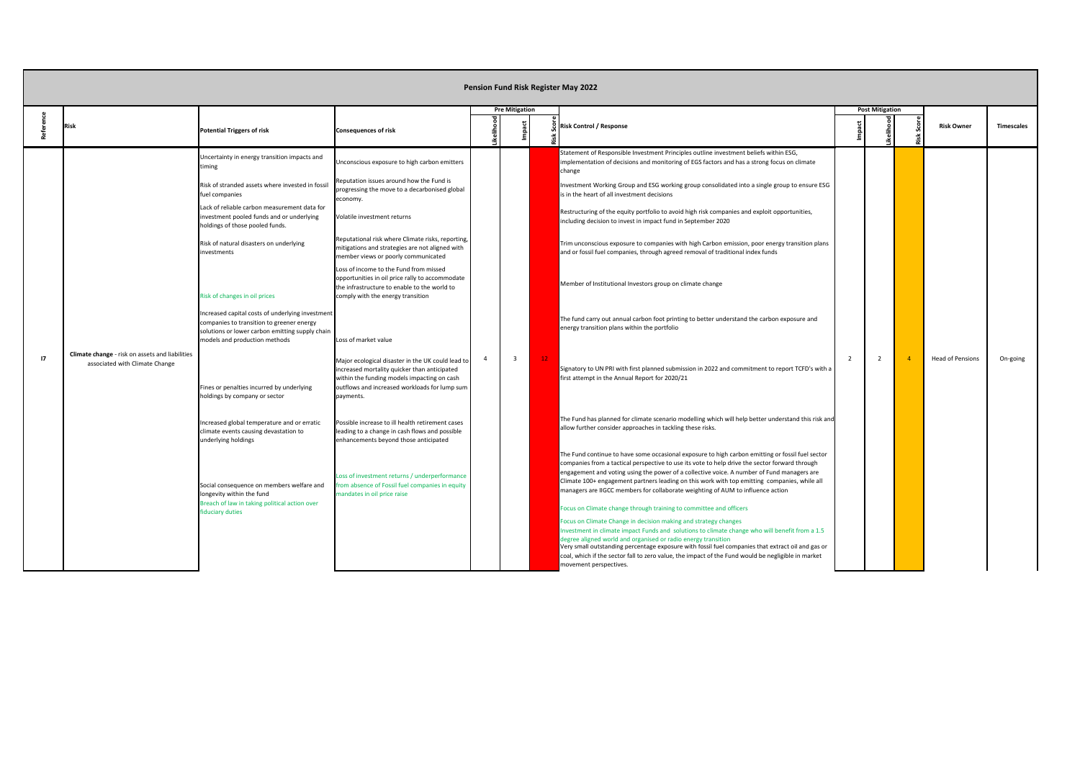|    | <b>Pension Fund Risk Register May 2022</b><br><b>Pre Mitigation</b><br><b>Post Mitigation</b> |                                                                                                                                                                                   |                                                                                                                                                                                                                |  |                |  |                 |                                                                                                                                                                                                                                                                                                                                                                                                                                                                                     |   |                |  |                         |                   |
|----|-----------------------------------------------------------------------------------------------|-----------------------------------------------------------------------------------------------------------------------------------------------------------------------------------|----------------------------------------------------------------------------------------------------------------------------------------------------------------------------------------------------------------|--|----------------|--|-----------------|-------------------------------------------------------------------------------------------------------------------------------------------------------------------------------------------------------------------------------------------------------------------------------------------------------------------------------------------------------------------------------------------------------------------------------------------------------------------------------------|---|----------------|--|-------------------------|-------------------|
|    |                                                                                               |                                                                                                                                                                                   |                                                                                                                                                                                                                |  |                |  |                 |                                                                                                                                                                                                                                                                                                                                                                                                                                                                                     |   |                |  |                         |                   |
|    | <b>Risk</b>                                                                                   | <b>Potential Triggers of risk</b>                                                                                                                                                 | <b>Consequences of risk</b>                                                                                                                                                                                    |  |                |  |                 | 8 Risk Control / Response                                                                                                                                                                                                                                                                                                                                                                                                                                                           |   |                |  | <b>Risk Owner</b>       | <b>Timescales</b> |
|    |                                                                                               | Uncertainty in energy transition impacts and<br>timing                                                                                                                            | Unconscious exposure to high carbon emitters                                                                                                                                                                   |  |                |  |                 | Statement of Responsible Investment Principles outline investment beliefs within ESG,<br>implementation of decisions and monitoring of EGS factors and has a strong focus on climate<br>change                                                                                                                                                                                                                                                                                      |   |                |  |                         |                   |
|    |                                                                                               | Risk of stranded assets where invested in fossil<br>fuel companies                                                                                                                | Reputation issues around how the Fund is<br>progressing the move to a decarbonised global<br>economy                                                                                                           |  |                |  |                 | Investment Working Group and ESG working group consolidated into a single group to ensure ESG<br>is in the heart of all investment decisions                                                                                                                                                                                                                                                                                                                                        |   |                |  |                         |                   |
|    |                                                                                               | Lack of reliable carbon measurement data for<br>investment pooled funds and or underlying<br>holdings of those pooled funds.                                                      | Volatile investment returns                                                                                                                                                                                    |  |                |  |                 | Restructuring of the equity portfolio to avoid high risk companies and exploit opportunities,<br>including decision to invest in impact fund in September 2020                                                                                                                                                                                                                                                                                                                      |   |                |  |                         |                   |
|    |                                                                                               | Risk of natural disasters on underlying<br>investments                                                                                                                            | Reputational risk where Climate risks, reporting,<br>mitigations and strategies are not aligned with<br>member views or poorly communicated                                                                    |  |                |  |                 | Trim unconscious exposure to companies with high Carbon emission, poor energy transition plans<br>and or fossil fuel companies, through agreed removal of traditional index funds                                                                                                                                                                                                                                                                                                   |   |                |  |                         |                   |
|    | Climate change - risk on assets and liabilities<br>associated with Climate Change             | Risk of changes in oil prices                                                                                                                                                     | Loss of income to the Fund from missed<br>opportunities in oil price rally to accommodate<br>the infrastructure to enable to the world to<br>comply with the energy transition                                 |  |                |  |                 | Member of Institutional Investors group on climate change                                                                                                                                                                                                                                                                                                                                                                                                                           |   |                |  |                         |                   |
|    |                                                                                               | Increased capital costs of underlying investment<br>companies to transition to greener energy<br>solutions or lower carbon emitting supply chain<br>models and production methods | Loss of market value                                                                                                                                                                                           |  |                |  |                 | The fund carry out annual carbon foot printing to better understand the carbon exposure and<br>energy transition plans within the portfolio                                                                                                                                                                                                                                                                                                                                         |   |                |  |                         |                   |
| 17 |                                                                                               | Fines or penalties incurred by underlying<br>holdings by company or sector                                                                                                        | Major ecological disaster in the UK could lead to<br>increased mortality quicker than anticipated<br>within the funding models impacting on cash<br>outflows and increased workloads for lump sum<br>payments. |  | $\overline{3}$ |  | 12 <sub>1</sub> | Signatory to UN PRI with first planned submission in 2022 and commitment to report TCFD's with a<br>first attempt in the Annual Report for 2020/21                                                                                                                                                                                                                                                                                                                                  | 2 | $\overline{2}$ |  | <b>Head of Pensions</b> | On-going          |
|    |                                                                                               | Increased global temperature and or erratic<br>climate events causing devastation to<br>underlying holdings                                                                       | Possible increase to ill health retirement cases<br>leading to a change in cash flows and possible<br>enhancements beyond those anticipated                                                                    |  |                |  |                 | The Fund has planned for climate scenario modelling which will help better understand this risk and<br>allow further consider approaches in tackling these risks.                                                                                                                                                                                                                                                                                                                   |   |                |  |                         |                   |
|    |                                                                                               | Social consequence on members welfare and<br>longevity within the fund                                                                                                            | Loss of investment returns / underperformance<br>from absence of Fossil fuel companies in equity<br>mandates in oil price raise                                                                                |  |                |  |                 | The Fund continue to have some occasional exposure to high carbon emitting or fossil fuel sector<br>companies from a tactical perspective to use its vote to help drive the sector forward through<br>engagement and voting using the power of a collective voice. A number of Fund managers are<br>Climate 100+ engagement partners leading on this work with top emitting companies, while all<br>managers are IIGCC members for collaborate weighting of AUM to influence action |   |                |  |                         |                   |
|    |                                                                                               | Breach of law in taking political action over<br>fiduciary duties                                                                                                                 |                                                                                                                                                                                                                |  |                |  |                 | Focus on Climate change through training to committee and officers                                                                                                                                                                                                                                                                                                                                                                                                                  |   |                |  |                         |                   |
|    |                                                                                               |                                                                                                                                                                                   |                                                                                                                                                                                                                |  |                |  |                 | Focus on Climate Change in decision making and strategy changes                                                                                                                                                                                                                                                                                                                                                                                                                     |   |                |  |                         |                   |
|    |                                                                                               |                                                                                                                                                                                   |                                                                                                                                                                                                                |  |                |  |                 | nvestment in climate impact Funds and solutions to climate change who will benefit from a 1.5<br>degree aligned world and organised or radio energy transition<br>Very small outstanding percentage exposure with fossil fuel companies that extract oil and gas or                                                                                                                                                                                                                 |   |                |  |                         |                   |
|    |                                                                                               |                                                                                                                                                                                   |                                                                                                                                                                                                                |  |                |  |                 | coal, which if the sector fall to zero value, the impact of the Fund would be negligible in market<br>movement perspectives.                                                                                                                                                                                                                                                                                                                                                        |   |                |  |                         |                   |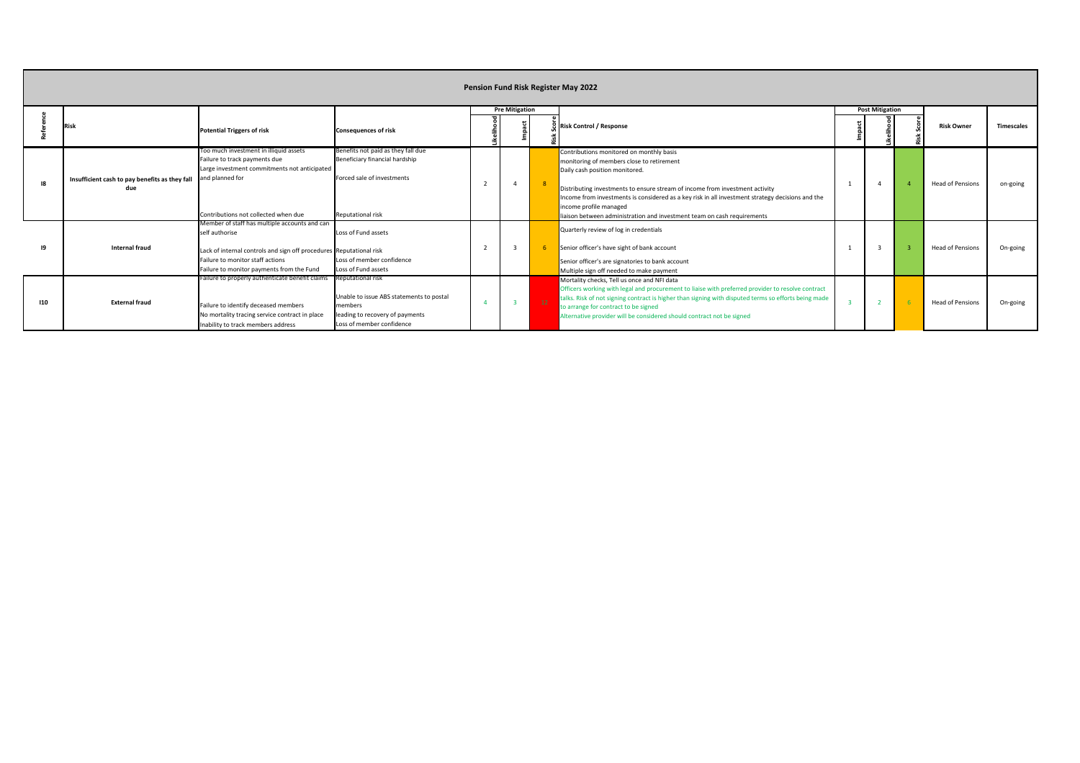|     | <b>Pension Fund Risk Register May 2022</b>            |                                                                                                                                                                                                                         |                                                                                                                                                 |  |                         |                 |                                                                                                                                                                                                                                                                                                                                                                                                                  |  |                        |                         |                         |                   |  |
|-----|-------------------------------------------------------|-------------------------------------------------------------------------------------------------------------------------------------------------------------------------------------------------------------------------|-------------------------------------------------------------------------------------------------------------------------------------------------|--|-------------------------|-----------------|------------------------------------------------------------------------------------------------------------------------------------------------------------------------------------------------------------------------------------------------------------------------------------------------------------------------------------------------------------------------------------------------------------------|--|------------------------|-------------------------|-------------------------|-------------------|--|
|     | <b>Risk</b>                                           | <b>Potential Triggers of risk</b>                                                                                                                                                                                       | <b>Consequences of risk</b>                                                                                                                     |  | <b>Pre Mitigation</b>   |                 | 8 Risk Control / Response                                                                                                                                                                                                                                                                                                                                                                                        |  | <b>Post Mitigation</b> |                         | <b>Risk Owner</b>       | <b>Timescales</b> |  |
| 18  | Insufficient cash to pay benefits as they fall<br>due | Too much investment in illiquid assets<br>Failure to track payments due<br>Large investment commitments not anticipated<br>and planned for<br>Contributions not collected when due                                      | Benefits not paid as they fall due<br>Beneficiary financial hardship<br>Forced sale of investments<br><b>Reputational risk</b>                  |  | $\overline{4}$          | 8 <sup>2</sup>  | Contributions monitored on monthly basis<br>monitoring of members close to retirement<br>Daily cash position monitored.<br>Distributing investments to ensure stream of income from investment activity<br>Income from investments is considered as a key risk in all investment strategy decisions and the<br>income profile managed<br>liaison between administration and investment team on cash requirements |  | $\overline{4}$         | $\overline{\mathbf{A}}$ | <b>Head of Pensions</b> | on-going          |  |
| 19  | <b>Internal fraud</b>                                 | Member of staff has multiple accounts and can<br>self authorise<br>Lack of internal controls and sign off procedures Reputational risk<br>Failure to monitor staff actions<br>Failure to monitor payments from the Fund | Loss of Fund assets<br>Loss of member confidence<br>Loss of Fund assets                                                                         |  | $\overline{3}$          |                 | Quarterly review of log in credentials<br>Senior officer's have sight of bank account<br>Senior officer's are signatories to bank account<br>Multiple sign off needed to make payment                                                                                                                                                                                                                            |  | $\overline{3}$         | $\mathbf{R}$            | <b>Head of Pensions</b> | On-going          |  |
| 110 | <b>External fraud</b>                                 | Failure to properly authenticate benefit claims<br>Failure to identify deceased members<br>No mortality tracing service contract in place<br>Inability to track members address                                         | <b>Reputational risk</b><br>Unable to issue ABS statements to postal<br>members<br>leading to recovery of payments<br>Loss of member confidence |  | $\overline{\mathbf{3}}$ | 12 <sup>7</sup> | Mortality checks, Tell us once and NFI data<br>Officers working with legal and procurement to liaise with preferred provider to resolve contract<br>talks. Risk of not signing contract is higher than signing with disputed terms so efforts being made<br>to arrange for contract to be signed<br>Alternative provider will be considered should contract not be signed                                        |  | $2^{\circ}$            | $-6$                    | <b>Head of Pensions</b> | On-going          |  |